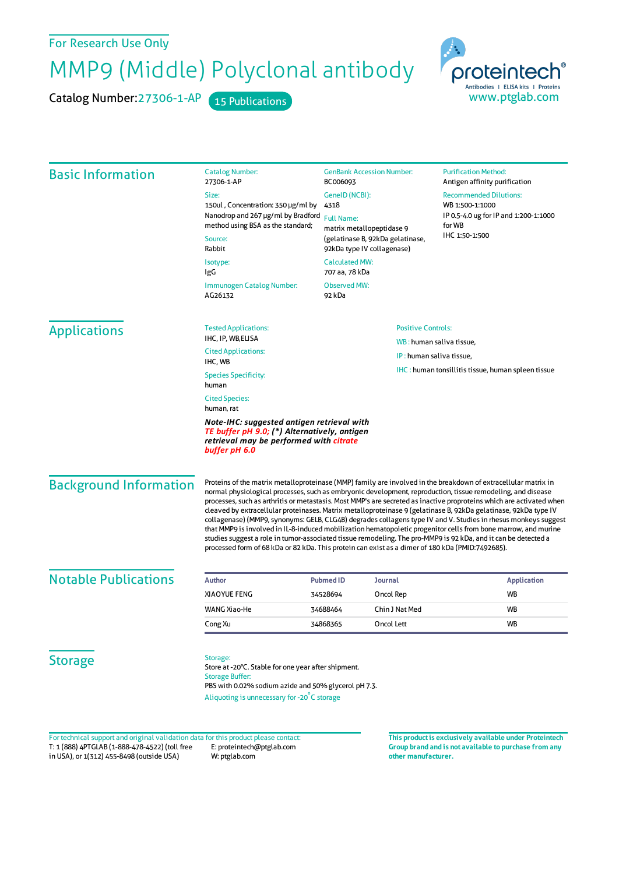## For Research Use Only

## MMP9 (Middle) Polyclonal antibody

Catalog Number: 27306-1-AP 15 Publications



| <b>Basic Information</b>                                                                                                                               | <b>Catalog Number:</b><br>27306-1-AP                                                                                                                                                                                                                                                                                                                                                                                                                                                                                                                                                                                                                                                                                                                                                                                                                                                                                               | <b>GenBank Accession Number:</b><br>BC006093<br>GenelD (NCBI):<br>4318<br><b>Full Name:</b><br>matrix metallopeptidase 9<br>(gelatinase B, 92kDa gelatinase,<br>92kDa type IV collagenase)<br><b>Calculated MW:</b><br>707 aa, 78 kDa |                                                            | <b>Purification Method:</b><br>Antigen affinity purification<br><b>Recommended Dilutions:</b><br>WB 1:500-1:1000<br>IP 0.5-4.0 ug for IP and 1:200-1:1000<br>for WB<br>IHC 1:50-1:500 |                    |
|--------------------------------------------------------------------------------------------------------------------------------------------------------|------------------------------------------------------------------------------------------------------------------------------------------------------------------------------------------------------------------------------------------------------------------------------------------------------------------------------------------------------------------------------------------------------------------------------------------------------------------------------------------------------------------------------------------------------------------------------------------------------------------------------------------------------------------------------------------------------------------------------------------------------------------------------------------------------------------------------------------------------------------------------------------------------------------------------------|---------------------------------------------------------------------------------------------------------------------------------------------------------------------------------------------------------------------------------------|------------------------------------------------------------|---------------------------------------------------------------------------------------------------------------------------------------------------------------------------------------|--------------------|
|                                                                                                                                                        | Size:                                                                                                                                                                                                                                                                                                                                                                                                                                                                                                                                                                                                                                                                                                                                                                                                                                                                                                                              |                                                                                                                                                                                                                                       |                                                            |                                                                                                                                                                                       |                    |
|                                                                                                                                                        | 150ul, Concentration: 350 µg/ml by<br>Nanodrop and 267 µg/ml by Bradford                                                                                                                                                                                                                                                                                                                                                                                                                                                                                                                                                                                                                                                                                                                                                                                                                                                           |                                                                                                                                                                                                                                       |                                                            |                                                                                                                                                                                       |                    |
|                                                                                                                                                        | method using BSA as the standard;<br>Source:<br>Rabbit                                                                                                                                                                                                                                                                                                                                                                                                                                                                                                                                                                                                                                                                                                                                                                                                                                                                             |                                                                                                                                                                                                                                       |                                                            |                                                                                                                                                                                       |                    |
|                                                                                                                                                        |                                                                                                                                                                                                                                                                                                                                                                                                                                                                                                                                                                                                                                                                                                                                                                                                                                                                                                                                    |                                                                                                                                                                                                                                       |                                                            |                                                                                                                                                                                       |                    |
|                                                                                                                                                        | Immunogen Catalog Number:<br>AG26132                                                                                                                                                                                                                                                                                                                                                                                                                                                                                                                                                                                                                                                                                                                                                                                                                                                                                               |                                                                                                                                                                                                                                       |                                                            |                                                                                                                                                                                       |                    |
|                                                                                                                                                        | <b>Applications</b>                                                                                                                                                                                                                                                                                                                                                                                                                                                                                                                                                                                                                                                                                                                                                                                                                                                                                                                | <b>Tested Applications:</b>                                                                                                                                                                                                           | <b>Positive Controls:</b>                                  |                                                                                                                                                                                       |                    |
| IHC, IP, WB, ELISA                                                                                                                                     |                                                                                                                                                                                                                                                                                                                                                                                                                                                                                                                                                                                                                                                                                                                                                                                                                                                                                                                                    |                                                                                                                                                                                                                                       | WB: human saliva tissue,                                   |                                                                                                                                                                                       |                    |
| <b>Cited Applications:</b><br>IHC, WB                                                                                                                  |                                                                                                                                                                                                                                                                                                                                                                                                                                                                                                                                                                                                                                                                                                                                                                                                                                                                                                                                    |                                                                                                                                                                                                                                       | IP: human saliva tissue,                                   |                                                                                                                                                                                       |                    |
| <b>Species Specificity:</b><br>human                                                                                                                   |                                                                                                                                                                                                                                                                                                                                                                                                                                                                                                                                                                                                                                                                                                                                                                                                                                                                                                                                    |                                                                                                                                                                                                                                       | <b>IHC</b> : human tonsillitis tissue, human spleen tissue |                                                                                                                                                                                       |                    |
| <b>Cited Species:</b><br>human, rat                                                                                                                    |                                                                                                                                                                                                                                                                                                                                                                                                                                                                                                                                                                                                                                                                                                                                                                                                                                                                                                                                    |                                                                                                                                                                                                                                       |                                                            |                                                                                                                                                                                       |                    |
| Note-IHC: suggested antigen retrieval with<br>TE buffer pH 9.0; (*) Alternatively, antigen<br>retrieval may be performed with citrate<br>buffer pH 6.0 |                                                                                                                                                                                                                                                                                                                                                                                                                                                                                                                                                                                                                                                                                                                                                                                                                                                                                                                                    |                                                                                                                                                                                                                                       |                                                            |                                                                                                                                                                                       |                    |
| <b>Background Information</b>                                                                                                                          | Proteins of the matrix metalloproteinase (MMP) family are involved in the breakdown of extracellular matrix in<br>normal physiological processes, such as embryonic development, reproduction, tissue remodeling, and disease<br>processes, such as arthritis or metastasis. Most MMP's are secreted as inactive proproteins which are activated when<br>cleaved by extracellular proteinases. Matrix metalloproteinase 9 (gelatinase B, 92kDa gelatinase, 92kDa type IV<br>collagenase) (MMP9, synonyms: GELB, CLG4B) degrades collagens type IV and V. Studies in rhesus monkeys suggest<br>that MMP9 is involved in IL-8-induced mobilization hematopoietic progenitor cells from bone marrow, and murine<br>studies suggest a role in tumor-associated tissue remodeling. The pro-MMP9 is 92 kDa, and it can be detected a<br>processed form of 68 kDa or 82 kDa. This protein can exist as a dimer of 180 kDa (PMID:7492685). |                                                                                                                                                                                                                                       |                                                            |                                                                                                                                                                                       |                    |
| <b>Notable Publications</b>                                                                                                                            | <b>Author</b>                                                                                                                                                                                                                                                                                                                                                                                                                                                                                                                                                                                                                                                                                                                                                                                                                                                                                                                      | <b>Pubmed ID</b>                                                                                                                                                                                                                      | Journal                                                    |                                                                                                                                                                                       | <b>Application</b> |
|                                                                                                                                                        | <b>XIAOYUE FENG</b>                                                                                                                                                                                                                                                                                                                                                                                                                                                                                                                                                                                                                                                                                                                                                                                                                                                                                                                | 34528694                                                                                                                                                                                                                              | Oncol Rep                                                  |                                                                                                                                                                                       | WB                 |
|                                                                                                                                                        | WANG Xiao-He                                                                                                                                                                                                                                                                                                                                                                                                                                                                                                                                                                                                                                                                                                                                                                                                                                                                                                                       | 34688464                                                                                                                                                                                                                              | Chin J Nat Med                                             |                                                                                                                                                                                       | WB                 |
|                                                                                                                                                        | Cong Xu                                                                                                                                                                                                                                                                                                                                                                                                                                                                                                                                                                                                                                                                                                                                                                                                                                                                                                                            | 34868365                                                                                                                                                                                                                              | Oncol Lett                                                 |                                                                                                                                                                                       | WB                 |
| <b>Storage</b>                                                                                                                                         | Storage:<br>Store at -20°C. Stable for one year after shipment.<br><b>Storage Buffer:</b><br>PBS with 0.02% sodium azide and 50% glycerol pH 7.3.<br>Aliquoting is unnecessary for -20°C storage                                                                                                                                                                                                                                                                                                                                                                                                                                                                                                                                                                                                                                                                                                                                   |                                                                                                                                                                                                                                       |                                                            |                                                                                                                                                                                       |                    |

T: 1 (888) 4PTGLAB (1-888-478-4522) (toll free in USA), or 1(312) 455-8498 (outside USA) E: proteintech@ptglab.com W: ptglab.com Fortechnical support and original validation data forthis product please contact: **This productis exclusively available under Proteintech**

**Group brand and is not available to purchase from any other manufacturer.**